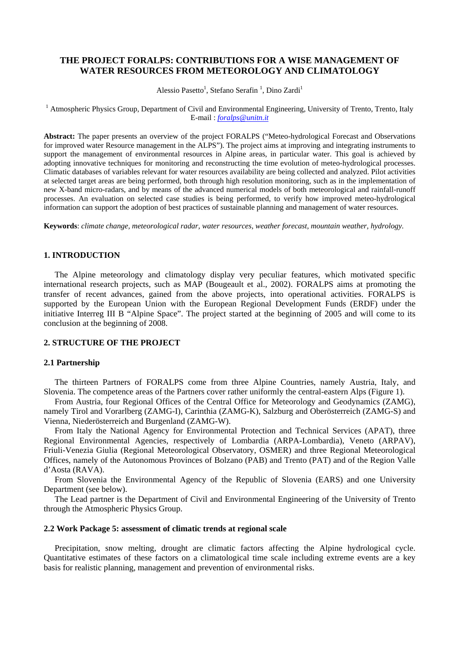# **THE PROJECT FORALPS: CONTRIBUTIONS FOR A WISE MANAGEMENT OF WATER RESOURCES FROM METEOROLOGY AND CLIMATOLOGY**

Alessio Pasetto<sup>1</sup>, Stefano Serafin<sup>1</sup>, Dino Zardi<sup>1</sup>

<sup>1</sup> Atmospheric Physics Group, Department of Civil and Environmental Engineering, University of Trento, Trento, Italy E-mail : *foralps@unitn.it* 

**Abstract:** The paper presents an overview of the project FORALPS ("Meteo-hydrological Forecast and Observations for improved water Resource management in the ALPS"). The project aims at improving and integrating instruments to support the management of environmental resources in Alpine areas, in particular water. This goal is achieved by adopting innovative techniques for monitoring and reconstructing the time evolution of meteo-hydrological processes. Climatic databases of variables relevant for water resources availability are being collected and analyzed. Pilot activities at selected target areas are being performed, both through high resolution monitoring, such as in the implementation of new X-band micro-radars, and by means of the advanced numerical models of both meteorological and rainfall-runoff processes. An evaluation on selected case studies is being performed, to verify how improved meteo-hydrological information can support the adoption of best practices of sustainable planning and management of water resources.

**Keywords**: *climate change, meteorological radar, water resources, weather forecast, mountain weather, hydrology.* 

#### **1. INTRODUCTION**

The Alpine meteorology and climatology display very peculiar features, which motivated specific international research projects, such as MAP (Bougeault et al., 2002). FORALPS aims at promoting the transfer of recent advances, gained from the above projects, into operational activities. FORALPS is supported by the European Union with the European Regional Development Funds (ERDF) under the initiative Interreg III B "Alpine Space". The project started at the beginning of 2005 and will come to its conclusion at the beginning of 2008.

### **2. STRUCTURE OF THE PROJECT**

#### **2.1 Partnership**

The thirteen Partners of FORALPS come from three Alpine Countries, namely Austria, Italy, and Slovenia. The competence areas of the Partners cover rather uniformly the central-eastern Alps (Figure 1).

From Austria, four Regional Offices of the Central Office for Meteorology and Geodynamics (ZAMG), namely Tirol and Vorarlberg (ZAMG-I), Carinthia (ZAMG-K), Salzburg and Oberösterreich (ZAMG-S) and Vienna, Niederösterreich and Burgenland (ZAMG-W).

From Italy the National Agency for Environmental Protection and Technical Services (APAT), three Regional Environmental Agencies, respectively of Lombardia (ARPA-Lombardia), Veneto (ARPAV), Friuli-Venezia Giulia (Regional Meteorological Observatory, OSMER) and three Regional Meteorological Offices, namely of the Autonomous Provinces of Bolzano (PAB) and Trento (PAT) and of the Region Valle d'Aosta (RAVA).

From Slovenia the Environmental Agency of the Republic of Slovenia (EARS) and one University Department (see below).

The Lead partner is the Department of Civil and Environmental Engineering of the University of Trento through the Atmospheric Physics Group.

## **2.2 Work Package 5: assessment of climatic trends at regional scale**

Precipitation, snow melting, drought are climatic factors affecting the Alpine hydrological cycle. Quantitative estimates of these factors on a climatological time scale including extreme events are a key basis for realistic planning, management and prevention of environmental risks.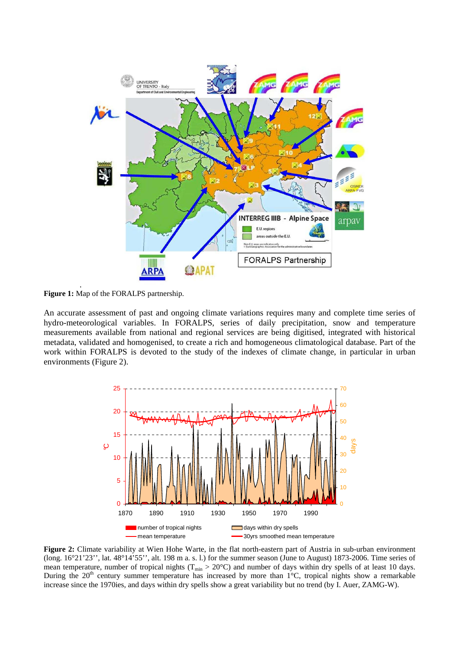

**Figure 1:** Map of the FORALPS partnership.

An accurate assessment of past and ongoing climate variations requires many and complete time series of hydro-meteorological variables. In FORALPS, series of daily precipitation, snow and temperature measurements available from national and regional services are being digitised, integrated with historical metadata, validated and homogenised, to create a rich and homogeneous climatological database. Part of the work within FORALPS is devoted to the study of the indexes of climate change, in particular in urban environments (Figure 2).



**Figure 2:** Climate variability at Wien Hohe Warte, in the flat north-eastern part of Austria in sub-urban environment (long. 16°21'23'', lat. 48°14'55'', alt. 198 m a. s. l.) for the summer season (June to August) 1873-2006. Time series of mean temperature, number of tropical nights ( $T_{min} > 20^{\circ}$ C) and number of days within dry spells of at least 10 days. During the  $20<sup>th</sup>$  century summer temperature has increased by more than  $1<sup>°</sup>C$ , tropical nights show a remarkable increase since the 1970ies, and days within dry spells show a great variability but no trend (by I. Auer, ZAMG-W).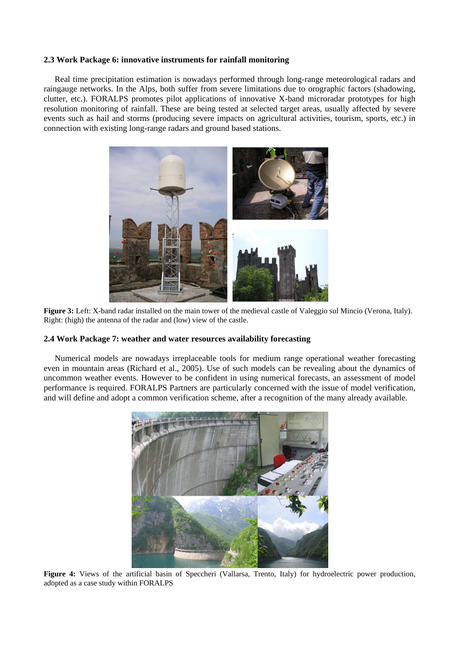### **2.3 Work Package 6: innovative instruments for rainfall monitoring**

Real time precipitation estimation is nowadays performed through long-range meteorological radars and raingauge networks. In the Alps, both suffer from severe limitations due to orographic factors (shadowing, clutter, etc.). FORALPS promotes pilot applications of innovative X-band microradar prototypes for high resolution monitoring of rainfall. These are being tested at selected target areas, usually affected by severe events such as hail and storms (producing severe impacts on agricultural activities, tourism, sports, etc.) in connection with existing long-range radars and ground based stations.



**Figure 3:** Left: X-band radar installed on the main tower of the medieval castle of Valeggio sul Mincio (Verona, Italy). Right: (high) the antenna of the radar and (low) view of the castle.

#### **2.4 Work Package 7: weather and water resources availability forecasting**

Numerical models are nowadays irreplaceable tools for medium range operational weather forecasting even in mountain areas (Richard et al., 2005). Use of such models can be revealing about the dynamics of uncommon weather events. However to be confident in using numerical forecasts, an assessment of model performance is required. FORALPS Partners are particularly concerned with the issue of model verification, and will define and adopt a common verification scheme, after a recognition of the many already available.



Figure 4: Views of the artificial basin of Speccheri (Vallarsa, Trento, Italy) for hydroelectric power production, adopted as a case study within FORALPS